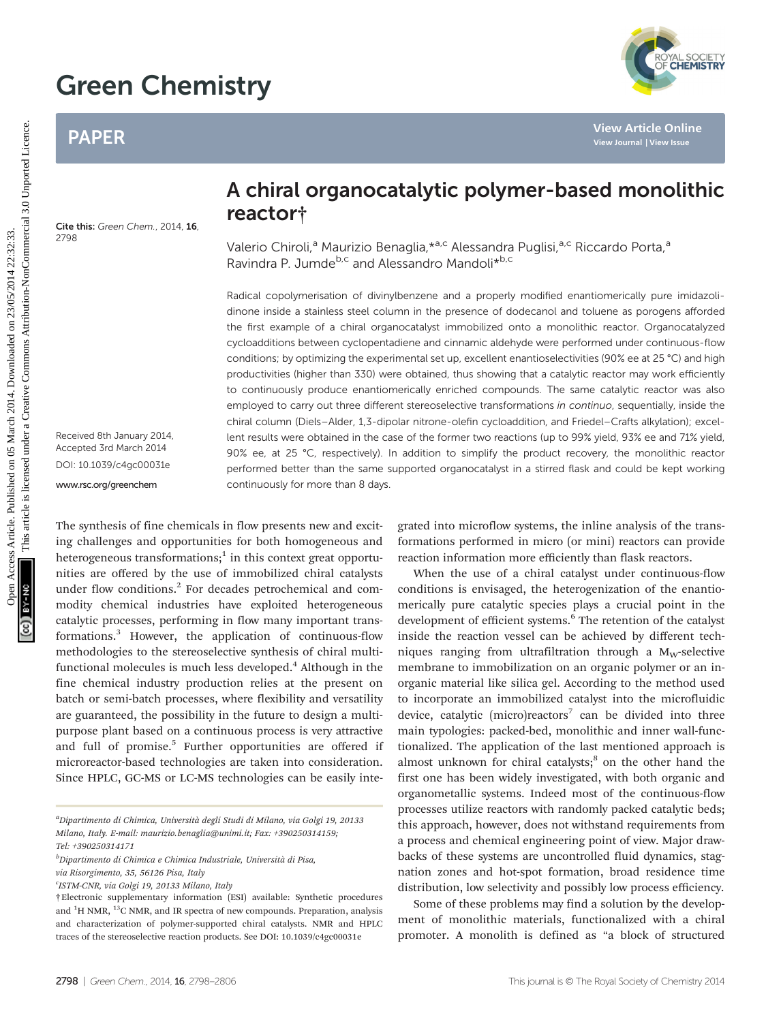# Green Chemistry

## PAPER

Cite this: Green Chem., 2014, 16 2798

Received 8th January 2014, Accepted 3rd March 2014 DOI: 10.1039/c4gc00031e

<www.rsc.org/greenchem>

## A chiral organocatalytic polymer-based monolithic reactor†

Valerio Chiroli,<sup>a</sup> Maurizio Benaglia, \*<sup>a,c</sup> Alessandra Puglisi, <sup>a,c</sup> Riccardo Porta,<sup>a</sup> Ravindra P. Jumde<sup>b,c</sup> and Alessandro Mandoli<sup>\*b,c</sup>

Radical copolymerisation of divinylbenzene and a properly modified enantiomerically pure imidazolidinone inside a stainless steel column in the presence of dodecanol and toluene as porogens afforded the first example of a chiral organocatalyst immobilized onto a monolithic reactor. Organocatalyzed cycloadditions between cyclopentadiene and cinnamic aldehyde were performed under continuous-flow conditions; by optimizing the experimental set up, excellent enantioselectivities (90% ee at 25 °C) and high productivities (higher than 330) were obtained, thus showing that a catalytic reactor may work efficiently to continuously produce enantiomerically enriched compounds. The same catalytic reactor was also employed to carry out three different stereoselective transformations in continuo, sequentially, inside the chiral column (Diels–Alder, 1,3-dipolar nitrone-olefin cycloaddition, and Friedel–Crafts alkylation); excellent results were obtained in the case of the former two reactions (up to 99% yield, 93% ee and 71% yield, 90% ee, at 25 °C, respectively). In addition to simplify the product recovery, the monolithic reactor performed better than the same supported organocatalyst in a stirred flask and could be kept working continuously for more than 8 days. PAPER<br>
PAPER<br>
A chiral organocatalytic polymer-based monolity<br>
Fraction Chemical Comparison and Comparison and Comparison and Comparison and Comparison and Comparison and Comparison and Comparison and Comparison and Compa

The synthesis of fine chemicals in flow presents new and exciting challenges and opportunities for both homogeneous and heterogeneous transformations; $<sup>1</sup>$  in this context great opportu-</sup> nities are offered by the use of immobilized chiral catalysts under flow conditions.<sup>2</sup> For decades petrochemical and commodity chemical industries have exploited heterogeneous catalytic processes, performing in flow many important transformations.<sup>3</sup> However, the application of continuous-flow methodologies to the stereoselective synthesis of chiral multifunctional molecules is much less developed.<sup>4</sup> Although in the fine chemical industry production relies at the present on batch or semi-batch processes, where flexibility and versatility are guaranteed, the possibility in the future to design a multipurpose plant based on a continuous process is very attractive and full of promise.<sup>5</sup> Further opportunities are offered if microreactor-based technologies are taken into consideration. Since HPLC, GC-MS or LC-MS technologies can be easily inte-

<sup>b</sup>Dipartimento di Chimica e Chimica Industriale, Università di Pisa,

via Risorgimento, 35, 56126 Pisa, Italy

<sup>c</sup>ISTM-CNR, via Golgi 19, 20133 Milano, Italy

grated into microflow systems, the inline analysis of the transformations performed in micro (or mini) reactors can provide reaction information more efficiently than flask reactors.

When the use of a chiral catalyst under continuous-flow conditions is envisaged, the heterogenization of the enantiomerically pure catalytic species plays a crucial point in the development of efficient systems.<sup>6</sup> The retention of the catalyst inside the reaction vessel can be achieved by different techniques ranging from ultrafiltration through a  $M_W$ -selective membrane to immobilization on an organic polymer or an inorganic material like silica gel. According to the method used to incorporate an immobilized catalyst into the microfluidic device, catalytic (micro)reactors<sup>7</sup> can be divided into three main typologies: packed-bed, monolithic and inner wall-functionalized. The application of the last mentioned approach is almost unknown for chiral catalysts; $^8$  on the other hand the first one has been widely investigated, with both organic and organometallic systems. Indeed most of the continuous-flow processes utilize reactors with randomly packed catalytic beds; this approach, however, does not withstand requirements from a process and chemical engineering point of view. Major drawbacks of these systems are uncontrolled fluid dynamics, stagnation zones and hot-spot formation, broad residence time distribution, low selectivity and possibly low process efficiency.

Some of these problems may find a solution by the development of monolithic materials, functionalized with a chiral promoter. A monolith is defined as "a block of structured

<sup>&</sup>lt;sup>a</sup>Dipartimento di Chimica, Università degli Studi di Milano, via Golgi 19, 20133 Milano, Italy. E-mail: maurizio.benaglia@unimi.it; Fax: +390250314159; Tel: +390250314171

<sup>†</sup>Electronic supplementary information (ESI) available: Synthetic procedures and  ${}^{1}$ H NMR,  ${}^{13}$ C NMR, and IR spectra of new compounds. Preparation, analysis and characterization of polymer-supported chiral catalysts. NMR and HPLC traces of the stereoselective reaction products. See DOI: 10.1039/c4gc00031e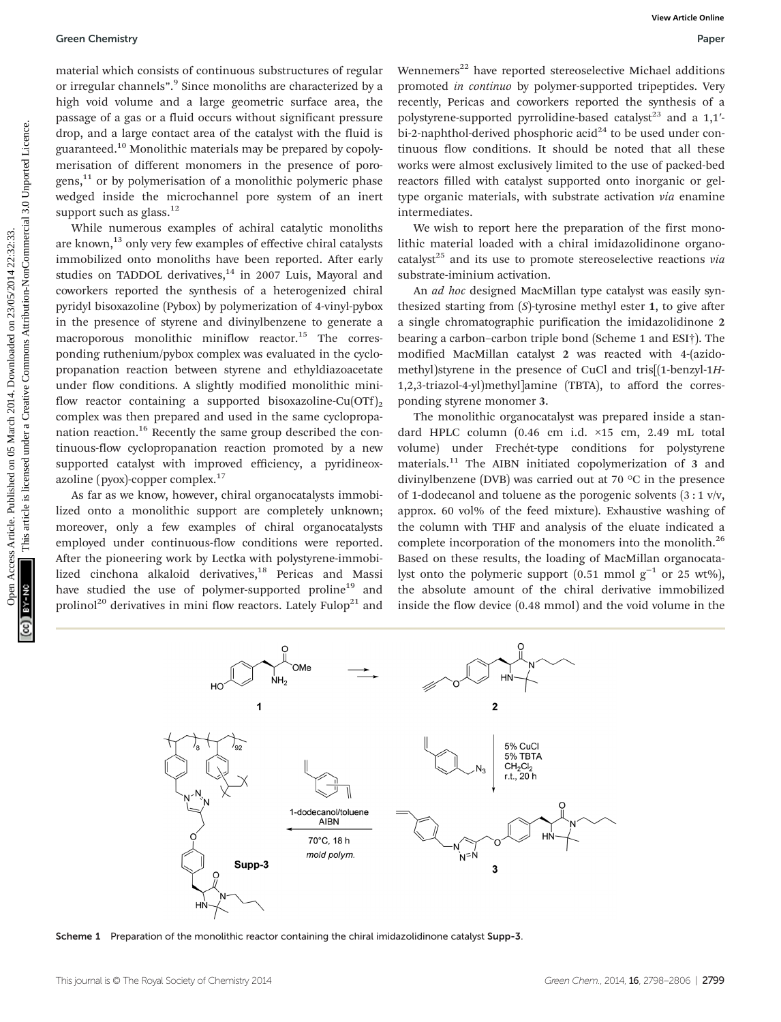#### Green Chemistry Paper

material which consists of continuous substructures of regular or irregular channels". <sup>9</sup> Since monoliths are characterized by a high void volume and a large geometric surface area, the passage of a gas or a fluid occurs without significant pressure drop, and a large contact area of the catalyst with the fluid is guaranteed.10 Monolithic materials may be prepared by copolymerisation of different monomers in the presence of porogens, $^{11}$  or by polymerisation of a monolithic polymeric phase wedged inside the microchannel pore system of an inert support such as  $glass.^{12}$ 

While numerous examples of achiral catalytic monoliths are known,<sup>13</sup> only very few examples of effective chiral catalysts immobilized onto monoliths have been reported. After early studies on TADDOL derivatives, $14$  in 2007 Luis, Mayoral and coworkers reported the synthesis of a heterogenized chiral pyridyl bisoxazoline (Pybox) by polymerization of 4-vinyl-pybox in the presence of styrene and divinylbenzene to generate a macroporous monolithic miniflow reactor.<sup>15</sup> The corresponding ruthenium/pybox complex was evaluated in the cyclopropanation reaction between styrene and ethyldiazoacetate under flow conditions. A slightly modified monolithic miniflow reactor containing a supported bisoxazoline-Cu(OTf)<sub>2</sub> complex was then prepared and used in the same cyclopropanation reaction.<sup>16</sup> Recently the same group described the continuous-flow cyclopropanation reaction promoted by a new supported catalyst with improved efficiency, a pyridineoxazoline (pyox)-copper complex.<sup>17</sup> Open Chemistry Sourcess Article. Continuous aubstructures of regular Wementers" have reported at<br>except change in the published on 23/05/2014 22:33. The creative Commons Articles Articles. We<br>also the published on 23/05/20

As far as we know, however, chiral organocatalysts immobilized onto a monolithic support are completely unknown; moreover, only a few examples of chiral organocatalysts employed under continuous-flow conditions were reported. After the pioneering work by Lectka with polystyrene-immobilized cinchona alkaloid derivatives,<sup>18</sup> Pericas and Massi have studied the use of polymer-supported proline<sup>19</sup> and prolinol<sup>20</sup> derivatives in mini flow reactors. Lately Fulop<sup>21</sup> and

Wennemers<sup>22</sup> have reported stereoselective Michael additions promoted in continuo by polymer-supported tripeptides. Very recently, Pericas and coworkers reported the synthesis of a polystyrene-supported pyrrolidine-based catalyst<sup>23</sup> and a  $1,1'$ bi-2-naphthol-derived phosphoric acid<sup>24</sup> to be used under continuous flow conditions. It should be noted that all these works were almost exclusively limited to the use of packed-bed reactors filled with catalyst supported onto inorganic or geltype organic materials, with substrate activation via enamine intermediates.

We wish to report here the preparation of the first monolithic material loaded with a chiral imidazolidinone organocatalyst<sup>25</sup> and its use to promote stereoselective reactions via substrate-iminium activation.

An ad hoc designed MacMillan type catalyst was easily synthesized starting from  $(S)$ -tyrosine methyl ester 1, to give after a single chromatographic purification the imidazolidinone 2 bearing a carbon–carbon triple bond (Scheme 1 and ESI†). The modified MacMillan catalyst 2 was reacted with 4-(azidomethyl)styrene in the presence of CuCl and tris[(1-benzyl-1H-1,2,3-triazol-4-yl)methyl]amine (TBTA), to afford the corresponding styrene monomer 3.

The monolithic organocatalyst was prepared inside a standard HPLC column (0.46 cm i.d. ×15 cm, 2.49 mL total volume) under Frechét-type conditions for polystyrene materials.<sup>11</sup> The AIBN initiated copolymerization of 3 and divinylbenzene (DVB) was carried out at 70 °C in the presence of 1-dodecanol and toluene as the porogenic solvents  $(3:1 \text{ v/v},$ approx. 60 vol% of the feed mixture). Exhaustive washing of the column with THF and analysis of the eluate indicated a complete incorporation of the monomers into the monolith.<sup>26</sup> Based on these results, the loading of MacMillan organocatalyst onto the polymeric support (0.51 mmol  $g^{-1}$  or 25 wt%), the absolute amount of the chiral derivative immobilized inside the flow device (0.48 mmol) and the void volume in the



Scheme 1 Preparation of the monolithic reactor containing the chiral imidazolidinone catalyst Supp-3.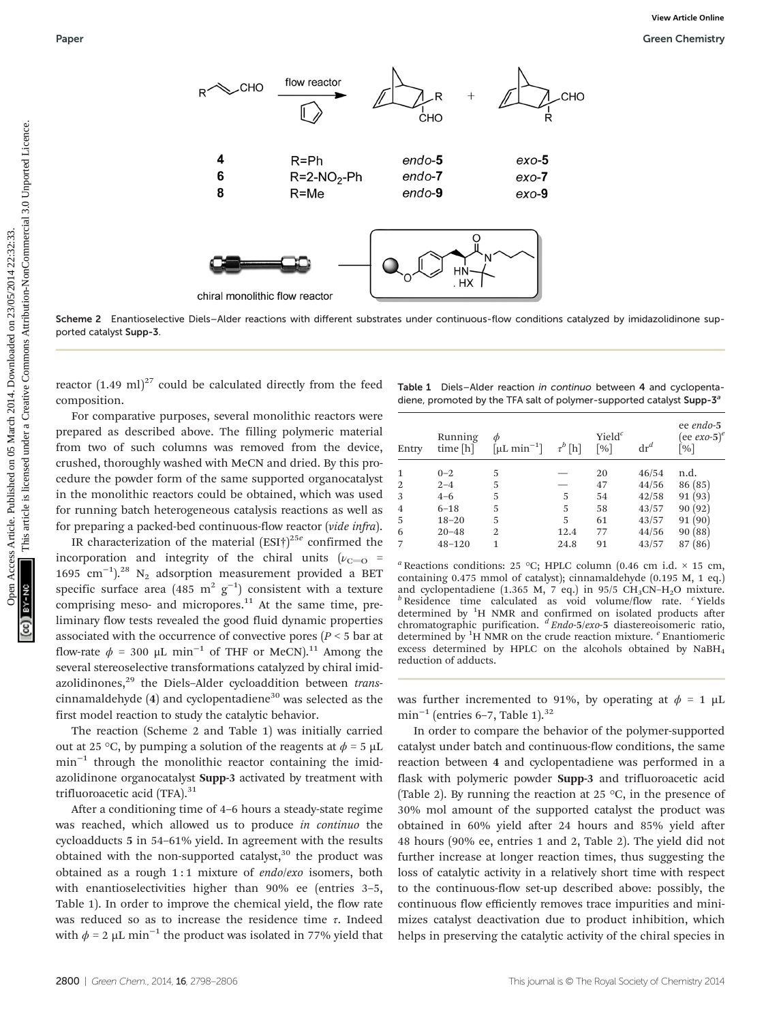

Scheme 2 Enantioselective Diels–Alder reactions with different substrates under continuous-flow conditions catalyzed by imidazolidinone supported catalyst Supp-3.

reactor  $(1.49 \text{ ml})^{27}$  could be calculated directly from the feed composition.

For comparative purposes, several monolithic reactors were prepared as described above. The filling polymeric material from two of such columns was removed from the device, crushed, thoroughly washed with MeCN and dried. By this procedure the powder form of the same supported organocatalyst in the monolithic reactors could be obtained, which was used for running batch heterogeneous catalysis reactions as well as for preparing a packed-bed continuous-flow reactor (vide infra).

IR characterization of the material  $(ESI<sup>†</sup>)<sup>25e</sup>$  confirmed the incorporation and integrity of the chiral units ( $v_{C=0}$  = 1695 cm−<sup>1</sup> ).28 N2 adsorption measurement provided a BET specific surface area (485  $m^2$   $g^{-1}$ ) consistent with a texture comprising meso- and micropores. $11$  At the same time, preliminary flow tests revealed the good fluid dynamic properties associated with the occurrence of convective pores ( $P \le 5$  bar at flow-rate  $\phi = 300 \mu L \text{ min}^{-1}$  of THF or MeCN).<sup>11</sup> Among the several stereoselective transformations catalyzed by chiral imidazolidinones,<sup>29</sup> the Diels-Alder cycloaddition between transcinnamaldehyde  $(4)$  and cyclopentadiene<sup>30</sup> was selected as the first model reaction to study the catalytic behavior.

The reaction (Scheme 2 and Table 1) was initially carried out at 25 °C, by pumping a solution of the reagents at  $\phi = 5 \mu L$ min<sup>-1</sup> through the monolithic reactor containing the imidazolidinone organocatalyst Supp-3 activated by treatment with trifluoroacetic acid (TFA).<sup>31</sup>

After a conditioning time of 4–6 hours a steady-state regime was reached, which allowed us to produce in continuo the cycloadducts 5 in 54–61% yield. In agreement with the results obtained with the non-supported catalyst, $30$  the product was obtained as a rough 1:1 mixture of endo/exo isomers, both with enantioselectivities higher than 90% ee (entries 3–5, Table 1). In order to improve the chemical yield, the flow rate was reduced so as to increase the residence time  $\tau$ . Indeed with  $\phi = 2 \mu L \text{ min}^{-1}$  the product was isolated in 77% yield that

| Table 1 Diels-Alder reaction in continuo between 4 and cyclopenta-                |  |  |
|-----------------------------------------------------------------------------------|--|--|
| diene, promoted by the TFA salt of polymer-supported catalyst Supp-3 <sup>a</sup> |  |  |

| Entry          | Running<br>time [h] | Ф<br>$[\mu L \text{ min}^{-1}]$ | $\tau^b$ [h] | Yiel $d^c$<br>$\lceil \% \rceil$ | $\mathrm{dr}^d$ | ee endo-5<br>(ee exo-5) $^e$<br>$\lceil \% \rceil$ |
|----------------|---------------------|---------------------------------|--------------|----------------------------------|-----------------|----------------------------------------------------|
| $\mathbf{1}$   | $0 - 2$             | 5                               |              | 20                               | 46/54           | n.d.                                               |
|                |                     | 5                               |              |                                  |                 |                                                    |
| $\overline{2}$ | $2 - 4$             |                                 |              | 47                               | 44/56           | 86 (85)                                            |
| 3              | $4 - 6$             | 5                               | 5            | 54                               | 42/58           | 91(93)                                             |
| $\overline{4}$ | $6 - 18$            | 5                               | 5            | 58                               | 43/57           | 90(92)                                             |
| -5             | $18 - 20$           | 5                               | 5            | 61                               | 43/57           | 91(90)                                             |
| 6              | $20 - 48$           | $\overline{2}$                  | 12.4         | 77                               | 44/56           | 90(88)                                             |
|                | $48 - 120$          | 1                               | 24.8         | 91                               | 43/57           | (86)<br>87                                         |

<sup>a</sup> Reactions conditions: 25 °C; HPLC column (0.46 cm i.d.  $\times$  15 cm, containing 0.475 mmol of catalyst); cinnamaldehyde (0.195 M, 1 eq.) and cyclopentadiene (1.365 M, 7 eq.) in 95/5 CH<sub>3</sub>CN–H<sub>2</sub>O mixture.<br><sup>*b*</sup> Residence time calculated as void volume/flow rate. <sup>c</sup> Yields determined by <sup>1</sup>H NMR and confirmed on isolated products after<br>chromatographic purification.  $\frac{dEndo-5/exo-5}{dt}$  diastereoisomeric ratio, determined by  ${}^{1}H$  NMR on the crude reaction mixture.  ${}^{e}$  Enantiomeric excess determined by HPLC on the alcohols obtained by NaBH4 reduction of adducts.

was further incremented to 91%, by operating at  $\phi = 1 \mu L$ min<sup>-1</sup> (entries 6-7, Table 1).<sup>32</sup>

In order to compare the behavior of the polymer-supported catalyst under batch and continuous-flow conditions, the same reaction between 4 and cyclopentadiene was performed in a flask with polymeric powder Supp-3 and trifluoroacetic acid (Table 2). By running the reaction at 25  $\degree$ C, in the presence of 30% mol amount of the supported catalyst the product was obtained in 60% yield after 24 hours and 85% yield after 48 hours (90% ee, entries 1 and 2, Table 2). The yield did not further increase at longer reaction times, thus suggesting the loss of catalytic activity in a relatively short time with respect to the continuous-flow set-up described above: possibly, the continuous flow efficiently removes trace impurities and minimizes catalyst deactivation due to product inhibition, which helps in preserving the catalytic activity of the chiral species in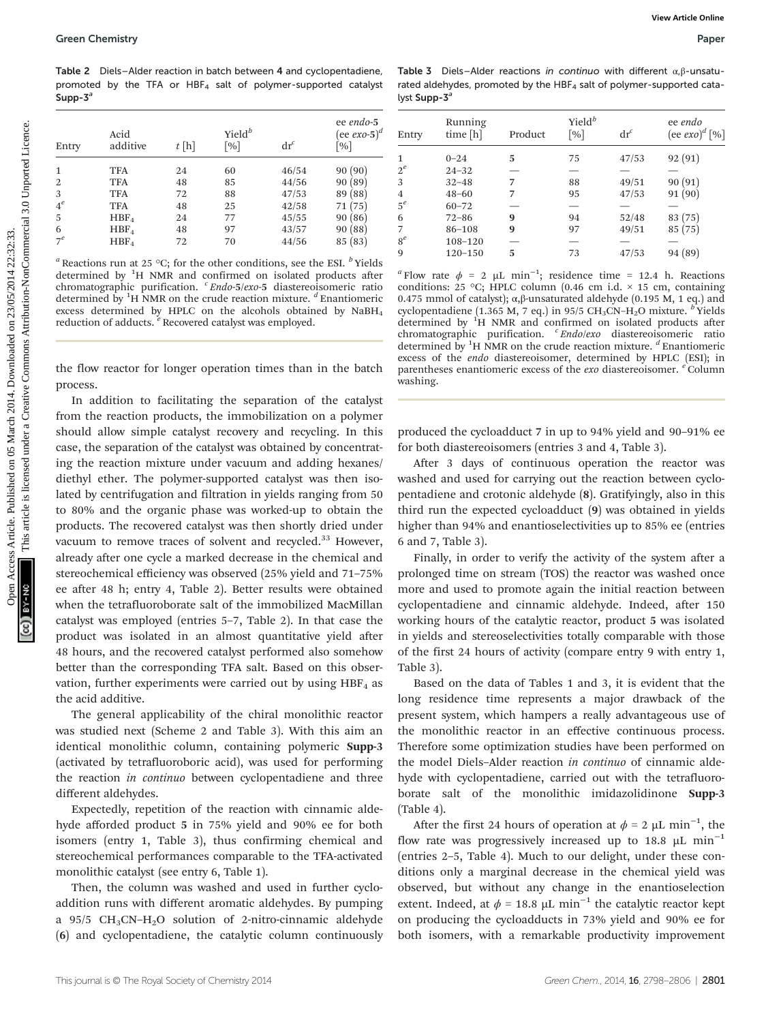Table 2 Diels–Alder reaction in batch between 4 and cyclopentadiene, promoted by the TFA or  $HBF<sub>4</sub>$  salt of polymer-supported catalyst Supp- $3^a$ 

| Entry          | Acid<br>additive | $t$ [h] | $Yield^b$<br>$\lceil \% \rceil$ | $\mathrm{dr}^c$ | ee endo-5<br>(ee $exo-5$ ) <sup>d</sup><br>$\lceil \% \rceil$ |
|----------------|------------------|---------|---------------------------------|-----------------|---------------------------------------------------------------|
| 1              | <b>TFA</b>       | 24      | 60                              | 46/54           | 90(90)                                                        |
| $\overline{2}$ | <b>TFA</b>       | 48      | 85                              | 44/56           | 90(89)                                                        |
| 3              | <b>TFA</b>       | 72      | 88                              | 47/53           | 89 (88)                                                       |
| $4^e$          | <b>TFA</b>       | 48      | 25                              | 42/58           | 71 (75)                                                       |
| 5              | HBF <sub>4</sub> | 24      | 77                              | 45/55           | 90(86)                                                        |
| 6              | HBF <sub>4</sub> | 48      | 97                              | 43/57           | 90(88)                                                        |
| $7^e$          | HBF <sub>4</sub> | 72      | 70                              | 44/56           | 85 (83)                                                       |

<sup>a</sup> Reactions run at 25 °C; for the other conditions, see the ESI.  $^b$  Yields determined by <sup>1</sup>H NMR and confirmed on isolated products after chromatographic purification. <sup>c</sup> Endo-5/exo-5 diastereoisomeric ratio determined by  ${}^{1}H$  NMR on the crude reaction mixture.  ${}^{d}$  Enantiomeric excess determined by HPLC on the alcohols obtained by NaBH4 reduction of adducts. <sup>e</sup> Recovered catalyst was employed.

the flow reactor for longer operation times than in the batch process.

In addition to facilitating the separation of the catalyst from the reaction products, the immobilization on a polymer should allow simple catalyst recovery and recycling. In this case, the separation of the catalyst was obtained by concentrating the reaction mixture under vacuum and adding hexanes/ diethyl ether. The polymer-supported catalyst was then isolated by centrifugation and filtration in yields ranging from 50 to 80% and the organic phase was worked-up to obtain the products. The recovered catalyst was then shortly dried under vacuum to remove traces of solvent and recycled.<sup>33</sup> However, already after one cycle a marked decrease in the chemical and stereochemical efficiency was observed (25% yield and 71–75% ee after 48 h; entry 4, Table 2). Better results were obtained when the tetrafluoroborate salt of the immobilized MacMillan catalyst was employed (entries 5–7, Table 2). In that case the product was isolated in an almost quantitative yield after 48 hours, and the recovered catalyst performed also somehow better than the corresponding TFA salt. Based on this observation, further experiments were carried out by using  $HBF<sub>4</sub>$  as the acid additive. **Open Chemistry**<br>
Table 2 Dete-Mistreschich between 4 and cycloperations Complex Table 3 Dete-Mistre is promote with different approximation of the engine on the complex article is the state of the state of the complex ap

The general applicability of the chiral monolithic reactor was studied next (Scheme 2 and Table 3). With this aim an identical monolithic column, containing polymeric Supp-3 (activated by tetrafluoroboric acid), was used for performing the reaction in continuo between cyclopentadiene and three different aldehydes.

Expectedly, repetition of the reaction with cinnamic aldehyde afforded product 5 in 75% yield and 90% ee for both isomers (entry 1, Table 3), thus confirming chemical and stereochemical performances comparable to the TFA-activated monolithic catalyst (see entry 6, Table 1).

Then, the column was washed and used in further cycloaddition runs with different aromatic aldehydes. By pumping a 95/5  $CH_3CN-H_2O$  solution of 2-nitro-cinnamic aldehyde (6) and cyclopentadiene, the catalytic column continuously

Table 3 Diels–Alder reactions in continuo with different  $\alpha, \beta$ -unsaturated aldehydes, promoted by the HBF<sub>4</sub> salt of polymer-supported catalyst Supp-3<sup>a</sup>

| Entry          | Running<br>time [h] | Product | $Yield^b$<br>$\lceil \frac{9}{6} \rceil$ | $\mathrm{dr}^c$ | ee endo<br>$(\text{ee} \, \text{exo})^d$ [%] |
|----------------|---------------------|---------|------------------------------------------|-----------------|----------------------------------------------|
| 1              | $0 - 24$            | 5       | 75                                       | 47/53           | 92(91)                                       |
| $2^e$          | $24 - 32$           |         |                                          |                 |                                              |
| 3              | $32 - 48$           | 7       | 88                                       | 49/51           | 90(91)                                       |
| $\overline{4}$ | $48 - 60$           | 7       | 95                                       | 47/53           | 91(90)                                       |
| $5^e$          | $60 - 72$           |         | $\overline{\phantom{0}}$                 |                 |                                              |
| 6              | $72 - 86$           | 9       | 94                                       | 52/48           | 83(75)                                       |
| 7              | $86 - 108$          | 9       | 97                                       | 49/51           | 85(75)                                       |
| $8^e$          | 108-120             |         |                                          |                 |                                              |
| 9              | $120 - 150$         | 5       | 73                                       | 47/53           | 94 (89)                                      |
|                |                     |         |                                          |                 |                                              |

<sup>a</sup> Flow rate  $\phi = 2 \mu L \text{ min}^{-1}$ ; residence time = 12.4 h. Reactions conditions: 25 °C; HPLC column (0.46 cm i.d. × 15 cm, containing 0.475 mmol of catalyst);  $\alpha$ ,β-unsaturated aldehyde (0.195 M, 1 eq.) and cyclopentadiene (1.365 M, 7 eq.) in 95/5 CH<sub>3</sub>CN–H<sub>2</sub>O mixture. <sup>b</sup> Yields determined by <sup>1</sup>H NMR and confirmed on isolated products after chromatographic purification. <sup>c</sup> Endo/exo diastereoisomeric ratio determined by  ${}^{1}H$  NMR on the crude reaction mixture.  ${}^{d}$  Enantiomeric excess of the endo diastereoisomer, determined by HPLC (ESI); in parentheses enantiomeric excess of the exo diastereoisomer. <sup>e</sup> Column washing.

produced the cycloadduct 7 in up to 94% yield and 90–91% ee for both diastereoisomers (entries 3 and 4, Table 3).

After 3 days of continuous operation the reactor was washed and used for carrying out the reaction between cyclopentadiene and crotonic aldehyde (8). Gratifyingly, also in this third run the expected cycloadduct (9) was obtained in yields higher than 94% and enantioselectivities up to 85% ee (entries 6 and 7, Table 3).

Finally, in order to verify the activity of the system after a prolonged time on stream (TOS) the reactor was washed once more and used to promote again the initial reaction between cyclopentadiene and cinnamic aldehyde. Indeed, after 150 working hours of the catalytic reactor, product 5 was isolated in yields and stereoselectivities totally comparable with those of the first 24 hours of activity (compare entry 9 with entry 1, Table 3).

Based on the data of Tables 1 and 3, it is evident that the long residence time represents a major drawback of the present system, which hampers a really advantageous use of the monolithic reactor in an effective continuous process. Therefore some optimization studies have been performed on the model Diels–Alder reaction in continuo of cinnamic aldehyde with cyclopentadiene, carried out with the tetrafluoroborate salt of the monolithic imidazolidinone Supp-3 (Table 4).

After the first 24 hours of operation at  $\phi = 2 \mu L \text{ min}^{-1}$ , the flow rate was progressively increased up to 18.8  $\mu$ L min<sup>-1</sup> (entries 2–5, Table 4). Much to our delight, under these conditions only a marginal decrease in the chemical yield was observed, but without any change in the enantioselection extent. Indeed, at  $\phi = 18.8 \mu L \text{ min}^{-1}$  the catalytic reactor kept on producing the cycloadducts in 73% yield and 90% ee for both isomers, with a remarkable productivity improvement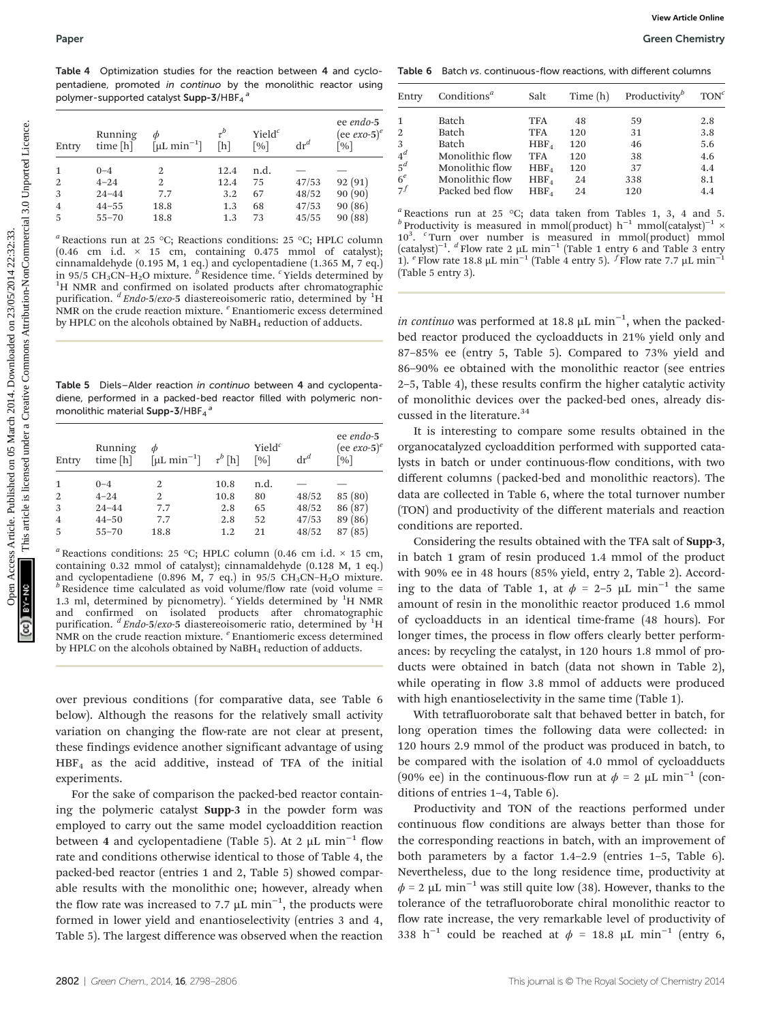Table 4 Optimization studies for the reaction between 4 and cyclopentadiene, promoted in continuo by the monolithic reactor using polymer-supported catalyst  $\operatorname{\mathsf{Supp-3}/HBF_{4}}^{a}$ 

| Entry          | Running<br>time [h] | Ф<br>$\lceil \mu L \text{ min}^{-1} \rceil$ | $\tau^b$<br>[h] | Yiel $d^c$<br>$\lceil \sqrt{96} \rceil$ | $\mathrm{dr}^d$ | ee endo-5<br>(ee exo-5) $^e$<br>$\lceil \% \rceil$ |
|----------------|---------------------|---------------------------------------------|-----------------|-----------------------------------------|-----------------|----------------------------------------------------|
|                | $0 - 4$             | 2                                           | 12.4            | n.d.                                    |                 |                                                    |
| $\overline{2}$ | $4 - 24$            | 2                                           | 12.4            | 75                                      | 47/53           | 92(91)                                             |
| 3              | $24 - 44$           | 7.7                                         | 3.2             | 67                                      | 48/52           | 90(90)                                             |
| $\overline{4}$ | $44 - 55$           | 18.8                                        | 1.3             | 68                                      | 47/53           | 90(86)                                             |
| -5             | $55 - 70$           | 18.8                                        | 1.3             | 73                                      | 45/55           | 90(88)                                             |

Table 5 Diels–Alder reaction in continuo between 4 and cyclopentadiene, performed in a packed-bed reactor filled with polymeric nonmonolithic material  $\mathsf{Supp\text{-}3}/\mathsf{HBF}_{4}$ <sup>a</sup>

| Entry          | Running<br>time [h] | Ф<br>$[\mu L \text{ min}^{-1}]$ | $\tau^{b}$ [h] | Yiel $d^c$<br>$\lceil 0/6 \rceil$ | $\mathrm{dr}^d$ | ee endo-5<br>(ee $exo-5)$ <sup>e</sup><br>$\lceil \% \rceil$ |
|----------------|---------------------|---------------------------------|----------------|-----------------------------------|-----------------|--------------------------------------------------------------|
| $\mathbf{1}$   | $0 - 4$             | 2                               | 10.8           | n.d.                              |                 |                                                              |
| 2              | $4 - 24$            | 2                               | 10.8           | 80                                | 48/52           | 85(80)                                                       |
| 3              | $24 - 44$           | 7.7                             | 2.8            | 65                                | 48/52           | 86(87)                                                       |
| $\overline{4}$ | $44 - 50$           | 7.7                             | 2.8            | 52                                | 47/53           | 89 (86)                                                      |
| 5              | $55 - 70$           | 18.8                            | 1.2            | 21                                | 48/52           | 87(85)                                                       |

<sup>a</sup> Reactions conditions: 25 °C; HPLC column (0.46 cm i.d.  $\times$  15 cm, containing 0.32 mmol of catalyst); cinnamaldehyde (0.128 M, 1 eq.) and cyclopentadiene (0.896 M, 7 eq.) in 95/5 CH<sub>3</sub>CN–H<sub>2</sub>O mixture.<br><sup>b</sup> Residence time calculated as void volume/flow rate (void volume = 1.3 ml, determined by picnometry).  $c$  Yields determined by  ${}^{1}H$  NMR confirmed on isolated products after chromatographic purification. <sup>d</sup> Endo-5/exo-5 diastereoisomeric ratio, determined by <sup>1</sup>H NMR on the crude reaction mixture.  $e$  Enantiomeric excess determined by HPLC on the alcohols obtained by NaBH<sub>4</sub> reduction of adducts.

over previous conditions (for comparative data, see Table 6 below). Although the reasons for the relatively small activity variation on changing the flow-rate are not clear at present, these findings evidence another significant advantage of using HBF4 as the acid additive, instead of TFA of the initial experiments.

For the sake of comparison the packed-bed reactor containing the polymeric catalyst Supp-3 in the powder form was employed to carry out the same model cycloaddition reaction between 4 and cyclopentadiene (Table 5). At 2  $\mu$ L min<sup>-1</sup> flow rate and conditions otherwise identical to those of Table 4, the packed-bed reactor (entries 1 and 2, Table 5) showed comparable results with the monolithic one; however, already when the flow rate was increased to 7.7  $\mu$ L min<sup>-1</sup>, the products were formed in lower yield and enantioselectivity (entries 3 and 4, Table 5). The largest difference was observed when the reaction

Table 6 Batch vs. continuous-flow reactions, with different columns

|                                                                                               |                                                                                                     | pentadiene, promoted in continuo by the monolithic reactor using<br>polymer-supported catalyst Supp-3/HBF <sub>4</sub> <sup>a</sup>                                                                                                                                                                                                                                    |                |                                          |                           |                                                              | Entry                 | Conditions <sup><math>a</math></sup>                                                                                                                                                                                                                                                                                                                                                                                                                                                                                         | Salt                     | Time (h)  | Productivity <sup><i>b</i></sup> | TON <sup>c</sup> |
|-----------------------------------------------------------------------------------------------|-----------------------------------------------------------------------------------------------------|------------------------------------------------------------------------------------------------------------------------------------------------------------------------------------------------------------------------------------------------------------------------------------------------------------------------------------------------------------------------|----------------|------------------------------------------|---------------------------|--------------------------------------------------------------|-----------------------|------------------------------------------------------------------------------------------------------------------------------------------------------------------------------------------------------------------------------------------------------------------------------------------------------------------------------------------------------------------------------------------------------------------------------------------------------------------------------------------------------------------------------|--------------------------|-----------|----------------------------------|------------------|
|                                                                                               |                                                                                                     |                                                                                                                                                                                                                                                                                                                                                                        | $\tau^b$       | Yiel $d^c$                               |                           | ee endo-5<br>(ee $exo-5$ ) <sup>e</sup>                      | 1<br>$\boldsymbol{2}$ | Batch<br>Batch                                                                                                                                                                                                                                                                                                                                                                                                                                                                                                               | <b>TFA</b><br><b>TFA</b> | 48<br>120 | 59<br>31                         | 2.8<br>3.8       |
| Entry                                                                                         | Running<br>time [h]                                                                                 | $\phi$<br>$[\mu L \text{ min}^{-1}]$                                                                                                                                                                                                                                                                                                                                   | [h]            | $\lceil \frac{9}{6} \rceil$              | $\mathrm{d} \mathbf{r}^d$ | $\frac{0}{0}$                                                | 3                     | Batch                                                                                                                                                                                                                                                                                                                                                                                                                                                                                                                        | HBF <sub>4</sub>         | 120       | 46                               | 5.6              |
|                                                                                               |                                                                                                     |                                                                                                                                                                                                                                                                                                                                                                        |                |                                          |                           |                                                              | $4^d$                 | Monolithic flow                                                                                                                                                                                                                                                                                                                                                                                                                                                                                                              | <b>TFA</b>               | 120       | 38                               | 4.6              |
| 1                                                                                             | $0 - 4$                                                                                             | 2                                                                                                                                                                                                                                                                                                                                                                      | 12.4           | n.d.                                     | $\qquad \qquad -$         |                                                              | $5^d$                 | Monolithic flow                                                                                                                                                                                                                                                                                                                                                                                                                                                                                                              | HBF <sub>4</sub>         | 120       | 37                               | 4.4              |
|                                                                                               | $4 - 24$                                                                                            | 2                                                                                                                                                                                                                                                                                                                                                                      | 12.4           | 75                                       | 47/53                     | 92(91)                                                       | $6^e\,$               | Monolithic flow                                                                                                                                                                                                                                                                                                                                                                                                                                                                                                              | HBF <sub>4</sub>         | 24        | 338                              | 8.1              |
|                                                                                               | $24 - 44$                                                                                           | 7.7                                                                                                                                                                                                                                                                                                                                                                    | 3.2            | 67                                       | 48/52                     | 90(90)                                                       | $7^f$                 | Packed bed flow                                                                                                                                                                                                                                                                                                                                                                                                                                                                                                              | HBF <sub>4</sub>         | 24        | 120                              | 4.4              |
|                                                                                               | $44 - 55$                                                                                           | 18.8                                                                                                                                                                                                                                                                                                                                                                   | 1.3            | 68                                       | 47/53                     | 90(86)                                                       |                       |                                                                                                                                                                                                                                                                                                                                                                                                                                                                                                                              |                          |           |                                  |                  |
|                                                                                               | $55 - 70$                                                                                           | 18.8                                                                                                                                                                                                                                                                                                                                                                   | 1.3            | 73                                       | 45/55                     | 90(88)                                                       |                       | <sup>a</sup> Reactions run at 25 °C; data taken from Tables 1, 3, 4 and 5.<br><sup>b</sup> Productivity is measured in mmol(product) h <sup>-1</sup> mmol(catalyst) <sup>-1</sup> $\times$<br>10 <sup>3</sup> . <sup>c</sup> Turn over number is measured in mmol(product) mmol                                                                                                                                                                                                                                              |                          |           |                                  |                  |
|                                                                                               | $(0.46 \text{ cm } i.d. \times 15 \text{ cm}, \text{ containing } 0.475 \text{ mmol of catalyst});$ | cinnamaldehyde (0.195 M, 1 eq.) and cyclopentadiene (1.365 M, 7 eq.)<br>in 95/5 CH <sub>3</sub> CN-H <sub>2</sub> O mixture. <sup>b</sup> Residence time. <sup>c</sup> Yields determined by<br><sup>1</sup> H NMR and confirmed on isolated products after chromatographic<br>purification. ${}^{d}Endo-5/exo-5$ diastereoisomeric ratio, determined by <sup>1</sup> H |                |                                          |                           |                                                              |                       | (catalyst) <sup>-1</sup> . $d$ Flow rate 2 $\mu$ L min <sup>-1</sup> (Table 1 entry 6 and Table 3 entry<br>1). $^e$ Flow rate 18.8 µL min <sup>-1</sup> (Table 4 entry 5). $^f$ Flow rate 7.7 µL min <sup>-1</sup><br>(Table 5 entry 3).                                                                                                                                                                                                                                                                                     |                          |           |                                  |                  |
|                                                                                               |                                                                                                     | NMR on the crude reaction mixture. <sup>e</sup> Enantiomeric excess determined<br>by HPLC on the alcohols obtained by NaBH <sub>4</sub> reduction of adducts.<br>Table 5 Diels-Alder reaction in continuo between 4 and cyclopenta-<br>diene, performed in a packed-bed reactor filled with polymeric non-<br>monolithic material Supp-3/HBF4 <sup>a</sup>             |                |                                          |                           |                                                              |                       | <i>in continuo</i> was performed at 18.8 $\mu$ L min <sup>-1</sup> , when the packed-<br>bed reactor produced the cycloadducts in 21% yield only and<br>87-85% ee (entry 5, Table 5). Compared to 73% yield and<br>86-90% ee obtained with the monolithic reactor (see entries<br>2-5, Table 4), these results confirm the higher catalytic activity<br>of monolithic devices over the packed-bed ones, already dis-<br>cussed in the literature. <sup>34</sup><br>It is interesting to compare some results obtained in the |                          |           |                                  |                  |
| <sup><i>a</i></sup> Reactions run at 25 °C; Reactions conditions: 25 °C; HPLC column<br>Entry | Running<br>time [h]                                                                                 | $[\mu L \text{ min}^{-1}]$                                                                                                                                                                                                                                                                                                                                             | $\tau^{b}$ [h] | Yield <sup>c</sup><br>$\lceil \% \rceil$ | $\mathrm{dr}^d$           | ee endo-5<br>(ee $exo-5$ ) <sup>e</sup><br>$\lceil % \rceil$ |                       | organocatalyzed cycloaddition performed with supported cata-<br>lysts in batch or under continuous-flow conditions, with two                                                                                                                                                                                                                                                                                                                                                                                                 |                          |           |                                  |                  |
|                                                                                               | $0 - 4$                                                                                             | 2                                                                                                                                                                                                                                                                                                                                                                      | 10.8           | n.d.                                     |                           |                                                              |                       | different columns (packed-bed and monolithic reactors). The                                                                                                                                                                                                                                                                                                                                                                                                                                                                  |                          |           |                                  |                  |
|                                                                                               | $4 - 24$                                                                                            | 2                                                                                                                                                                                                                                                                                                                                                                      | 10.8           | 80                                       | 48/52                     | 85(80)                                                       |                       | data are collected in Table 6, where the total turnover number                                                                                                                                                                                                                                                                                                                                                                                                                                                               |                          |           |                                  |                  |
| $\mathbf{1}$<br>$\mathbf{2}$<br>3                                                             | $24 - 44$                                                                                           | 7.7                                                                                                                                                                                                                                                                                                                                                                    | 2.8            | 65                                       | 48/52                     | 86(87)                                                       |                       | (TON) and productivity of the different materials and reaction                                                                                                                                                                                                                                                                                                                                                                                                                                                               |                          |           |                                  |                  |
| $\overline{4}$<br>5                                                                           | $44 - 50$<br>$55 - 70$                                                                              | 7.7<br>18.8                                                                                                                                                                                                                                                                                                                                                            | 2.8<br>1.2     | 52<br>21                                 | 47/53<br>48/52            | 89 (86)<br>87(85)                                            |                       | conditions are reported.                                                                                                                                                                                                                                                                                                                                                                                                                                                                                                     |                          |           |                                  |                  |

Considering the results obtained with the TFA salt of Supp-3, in batch 1 gram of resin produced 1.4 mmol of the product with 90% ee in 48 hours (85% yield, entry 2, Table 2). According to the data of Table 1, at  $\phi = 2$ –5 µL min<sup>-1</sup> the same amount of resin in the monolithic reactor produced 1.6 mmol of cycloadducts in an identical time-frame (48 hours). For longer times, the process in flow offers clearly better performances: by recycling the catalyst, in 120 hours 1.8 mmol of products were obtained in batch (data not shown in Table 2), while operating in flow 3.8 mmol of adducts were produced with high enantioselectivity in the same time (Table 1).

With tetrafluoroborate salt that behaved better in batch, for long operation times the following data were collected: in 120 hours 2.9 mmol of the product was produced in batch, to be compared with the isolation of 4.0 mmol of cycloadducts (90% ee) in the continuous-flow run at  $\phi = 2 \mu L \text{ min}^{-1}$  (conditions of entries 1–4, Table 6).

Productivity and TON of the reactions performed under continuous flow conditions are always better than those for the corresponding reactions in batch, with an improvement of both parameters by a factor 1.4–2.9 (entries 1–5, Table 6). Nevertheless, due to the long residence time, productivity at  $\phi$  = 2 µL min<sup>-1</sup> was still quite low (38). However, thanks to the tolerance of the tetrafluoroborate chiral monolithic reactor to flow rate increase, the very remarkable level of productivity of 338 h<sup>-1</sup> could be reached at  $\phi = 18.8 \text{ }\mu\text{L} \text{ min}^{-1}$  (entry 6,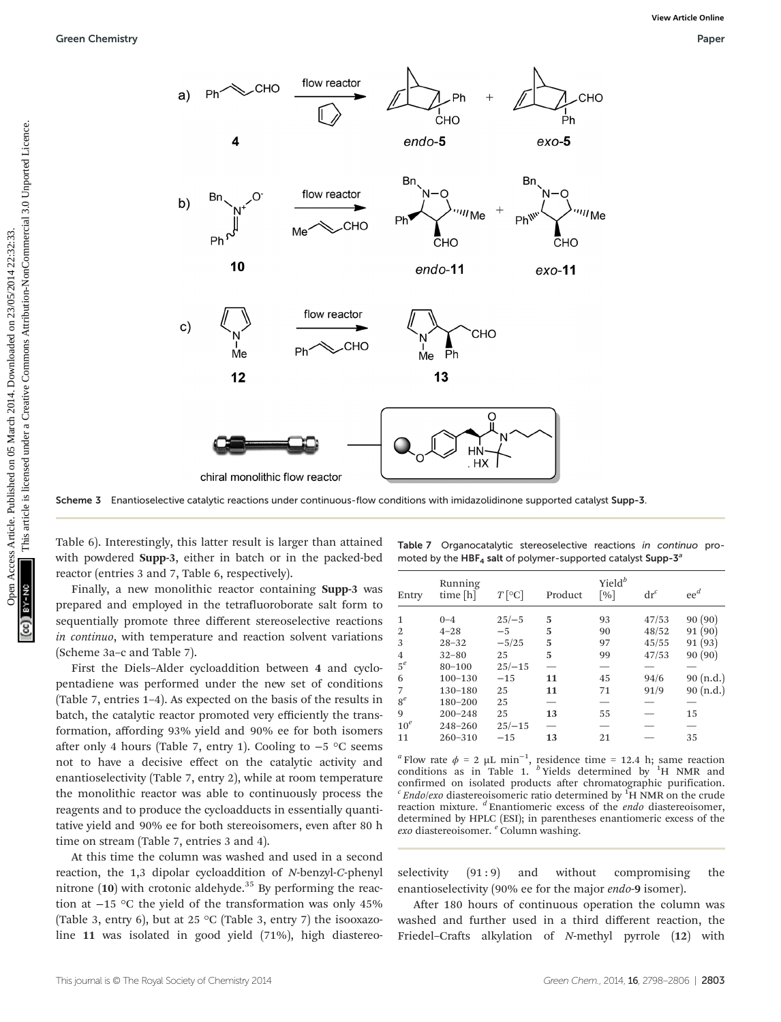

Scheme 3 Enantioselective catalytic reactions under continuous-flow conditions with imidazolidinone supported catalyst Supp-3.

Table 6). Interestingly, this latter result is larger than attained with powdered Supp-3, either in batch or in the packed-bed reactor (entries 3 and 7, Table 6, respectively).

Finally, a new monolithic reactor containing Supp-3 was prepared and employed in the tetrafluoroborate salt form to sequentially promote three different stereoselective reactions in continuo, with temperature and reaction solvent variations (Scheme 3a–c and Table 7).

First the Diels–Alder cycloaddition between 4 and cyclopentadiene was performed under the new set of conditions (Table 7, entries 1–4). As expected on the basis of the results in batch, the catalytic reactor promoted very efficiently the transformation, affording 93% yield and 90% ee for both isomers after only 4 hours (Table 7, entry 1). Cooling to −5 °C seems not to have a decisive effect on the catalytic activity and enantioselectivity (Table 7, entry 2), while at room temperature the monolithic reactor was able to continuously process the reagents and to produce the cycloadducts in essentially quantitative yield and 90% ee for both stereoisomers, even after 80 h time on stream (Table 7, entries 3 and 4).

At this time the column was washed and used in a second reaction, the 1,3 dipolar cycloaddition of N-benzyl-C-phenyl nitrone  $(10)$  with crotonic aldehyde.<sup>35</sup> By performing the reaction at −15 °C the yield of the transformation was only 45% (Table 3, entry 6), but at 25 °C (Table 3, entry 7) the isooxazoline 11 was isolated in good yield (71%), high diastereo-

| Table 7 Organocatalytic stereoselective reactions in continuo pro-  |  |  |  |
|---------------------------------------------------------------------|--|--|--|
| moted by the $HBF_4$ salt of polymer-supported catalyst Supp- $3^a$ |  |  |  |

| Entry          | Running<br>time [h] | $T$ [°C] | Product | $Yield^b$<br>$\lceil 0/6 \rceil$ | $\mathrm{dr}^c$ | $ee^d$    |
|----------------|---------------------|----------|---------|----------------------------------|-----------------|-----------|
|                |                     |          |         |                                  |                 |           |
| $\mathbf{1}$   | $0 - 4$             | $25/-5$  | 5       | 93                               | 47/53           | 90(90)    |
| 2              | $4 - 28$            | $-5$     | 5       | 90                               | 48/52           | 91(90)    |
| 3              | $28 - 32$           | $-5/25$  | 5       | 97                               | 45/55           | 91(93)    |
| $\overline{4}$ | $32 - 80$           | 25       | 5       | 99                               | 47/53           | 90(90)    |
| $5^e$          | $80 - 100$          | $25/-15$ |         |                                  |                 |           |
| 6              | $100 - 130$         | $-15$    | 11      | 45                               | 94/6            | 90 (n.d.) |
| $\overline{7}$ | 130-180             | 25       | 11      | 71                               | 91/9            | 90 (n.d.) |
| $8^e$          | 180-200             | 25       |         |                                  |                 |           |
| 9              | $200 - 248$         | 25       | 13      | 55                               |                 | 15        |
| $10^e$         | 248-260             | $25/-15$ |         |                                  |                 |           |
| 11             | $260 - 310$         | $-15$    | 13      | 21                               |                 | 35        |

<sup>a</sup> Flow rate  $\phi = 2 \mu L \text{ min}^{-1}$ , residence time = 12.4 h; same reaction conditions as in Table 1.  $b$  Yields determined by  $1H$  NMR and confirmed on isolated products after chromatographic purification.  $c$  *Endo/exo* diastereoisomeric ratio determined by  ${}^{1}H$  NMR on the crude reaction mixture.  $\textsuperscript{d}$  Enantiomeric excess of the *endo* diastereoisomer, determined by HPLC (ESI); in parentheses enantiomeric excess of the exo diastereoisomer. <sup>e</sup> Column washing.

selectivity  $(91:9)$  and without compromising the enantioselectivity (90% ee for the major endo-9 isomer).

After 180 hours of continuous operation the column was washed and further used in a third different reaction, the Friedel–Crafts alkylation of N-methyl pyrrole (12) with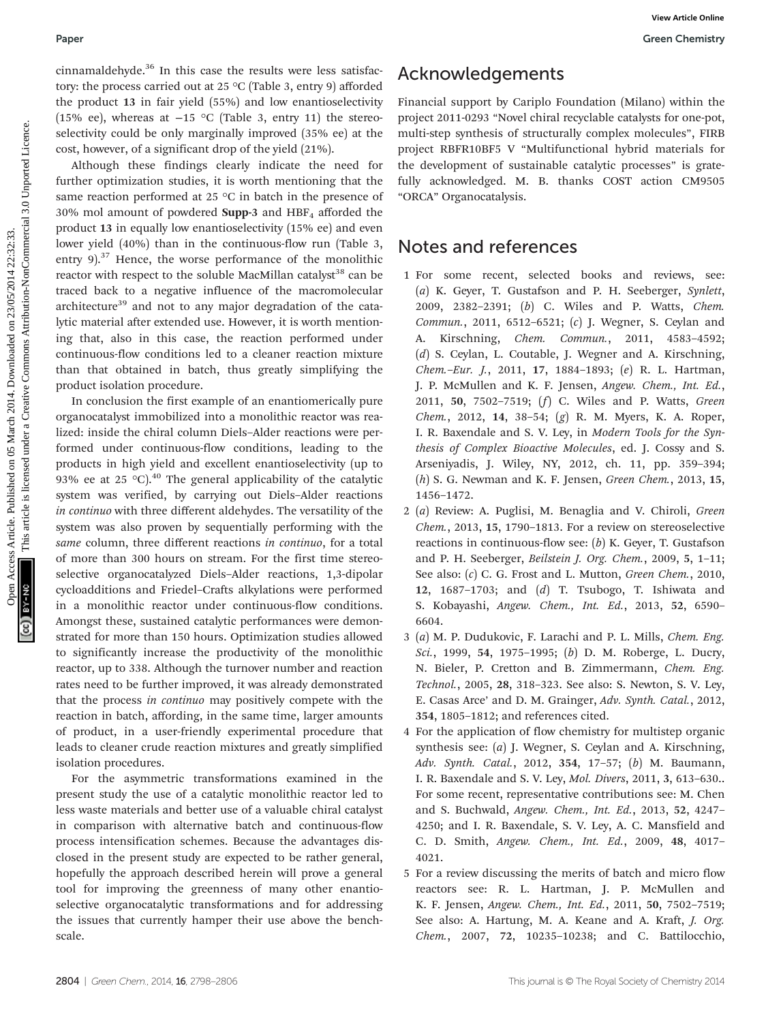cinnamaldehyde.<sup>36</sup> In this case the results were less satisfactory: the process carried out at 25 °C (Table 3, entry 9) afforded the product 13 in fair yield (55%) and low enantioselectivity (15% ee), whereas at −15 °C (Table 3, entry 11) the stereoselectivity could be only marginally improved (35% ee) at the cost, however, of a significant drop of the yield (21%).

Although these findings clearly indicate the need for further optimization studies, it is worth mentioning that the same reaction performed at 25 °C in batch in the presence of 30% mol amount of powdered **Supp-3** and  $HBF<sub>4</sub>$  afforded the product 13 in equally low enantioselectivity (15% ee) and even lower yield (40%) than in the continuous-flow run (Table 3, entry  $9$ ).<sup>37</sup> Hence, the worse performance of the monolithic reactor with respect to the soluble MacMillan catalyst<sup>38</sup> can be traced back to a negative influence of the macromolecular architecture<sup>39</sup> and not to any major degradation of the catalytic material after extended use. However, it is worth mentioning that, also in this case, the reaction performed under continuous-flow conditions led to a cleaner reaction mixture than that obtained in batch, thus greatly simplifying the product isolation procedure. Paper<br>
Open Access Carried on 4.3 Yer Tothis Articles. The mass article. Acceleration of the product is of the product in the secondart of the common access Article is licensed to the common access Article is licensed unde

In conclusion the first example of an enantiomerically pure organocatalyst immobilized into a monolithic reactor was realized: inside the chiral column Diels–Alder reactions were performed under continuous-flow conditions, leading to the products in high yield and excellent enantioselectivity (up to 93% ee at 25 °C).<sup>40</sup> The general applicability of the catalytic system was verified, by carrying out Diels–Alder reactions in continuo with three different aldehydes. The versatility of the system was also proven by sequentially performing with the same column, three different reactions in continuo, for a total of more than 300 hours on stream. For the first time stereoselective organocatalyzed Diels–Alder reactions, 1,3-dipolar cycloadditions and Friedel–Crafts alkylations were performed in a monolithic reactor under continuous-flow conditions. Amongst these, sustained catalytic performances were demonstrated for more than 150 hours. Optimization studies allowed to significantly increase the productivity of the monolithic reactor, up to 338. Although the turnover number and reaction rates need to be further improved, it was already demonstrated that the process in continuo may positively compete with the reaction in batch, affording, in the same time, larger amounts of product, in a user-friendly experimental procedure that leads to cleaner crude reaction mixtures and greatly simplified isolation procedures.

For the asymmetric transformations examined in the present study the use of a catalytic monolithic reactor led to less waste materials and better use of a valuable chiral catalyst in comparison with alternative batch and continuous-flow process intensification schemes. Because the advantages disclosed in the present study are expected to be rather general, hopefully the approach described herein will prove a general tool for improving the greenness of many other enantioselective organocatalytic transformations and for addressing the issues that currently hamper their use above the benchscale.

## Acknowledgements

Financial support by Cariplo Foundation (Milano) within the project 2011-0293 "Novel chiral recyclable catalysts for one-pot, multi-step synthesis of structurally complex molecules", FIRB project RBFR10BF5 V "Multifunctional hybrid materials for the development of sustainable catalytic processes" is gratefully acknowledged. M. B. thanks COST action CM9505 "ORCA" Organocatalysis.

## Notes and references

- 1 For some recent, selected books and reviews, see: (a) K. Geyer, T. Gustafson and P. H. Seeberger, Synlett, 2009, 2382–2391; (b) C. Wiles and P. Watts, Chem. Commun., 2011, 6512–6521; (c) J. Wegner, S. Ceylan and A. Kirschning, Chem. Commun., 2011, 4583–4592; (d) S. Ceylan, L. Coutable, J. Wegner and A. Kirschning, Chem.–Eur. J., 2011, 17, 1884–1893; (e) R. L. Hartman, J. P. McMullen and K. F. Jensen, Angew. Chem., Int. Ed., 2011, 50, 7502–7519; (f) C. Wiles and P. Watts, Green Chem., 2012, 14, 38–54; (g) R. M. Myers, K. A. Roper, I. R. Baxendale and S. V. Ley, in Modern Tools for the Synthesis of Complex Bioactive Molecules, ed. J. Cossy and S. Arseniyadis, J. Wiley, NY, 2012, ch. 11, pp. 359–394;  $(h)$  S. G. Newman and K. F. Jensen, *Green Chem.*, 2013, 15, 1456–1472.
- 2 (a) Review: A. Puglisi, M. Benaglia and V. Chiroli, Green Chem., 2013, 15, 1790–1813. For a review on stereoselective reactions in continuous-flow see:  $(b)$  K. Geyer, T. Gustafson and P. H. Seeberger, Beilstein J. Org. Chem., 2009, 5, 1–11; See also: (c) C. G. Frost and L. Mutton, Green Chem., 2010, 12, 1687–1703; and (d) T. Tsubogo, T. Ishiwata and S. Kobayashi, Angew. Chem., Int. Ed., 2013, 52, 6590– 6604.
- 3 (a) M. P. Dudukovic, F. Larachi and P. L. Mills, Chem. Eng. Sci., 1999, 54, 1975–1995; (b) D. M. Roberge, L. Ducry, N. Bieler, P. Cretton and B. Zimmermann, Chem. Eng. Technol., 2005, 28, 318–323. See also: S. Newton, S. V. Ley, E. Casas Arce' and D. M. Grainger, Adv. Synth. Catal., 2012, 354, 1805–1812; and references cited.
- 4 For the application of flow chemistry for multistep organic synthesis see:  $(a)$  J. Wegner, S. Ceylan and A. Kirschning, Adv. Synth. Catal., 2012, 354, 17–57; (b) M. Baumann, I. R. Baxendale and S. V. Ley, Mol. Divers, 2011, 3, 613–630.. For some recent, representative contributions see: M. Chen and S. Buchwald, Angew. Chem., Int. Ed., 2013, 52, 4247– 4250; and I. R. Baxendale, S. V. Ley, A. C. Mansfield and C. D. Smith, Angew. Chem., Int. Ed., 2009, 48, 4017– 4021.
- 5 For a review discussing the merits of batch and micro flow reactors see: R. L. Hartman, J. P. McMullen and K. F. Jensen, Angew. Chem., Int. Ed., 2011, 50, 7502–7519; See also: A. Hartung, M. A. Keane and A. Kraft, J. Org. Chem., 2007, 72, 10235–10238; and C. Battilocchio,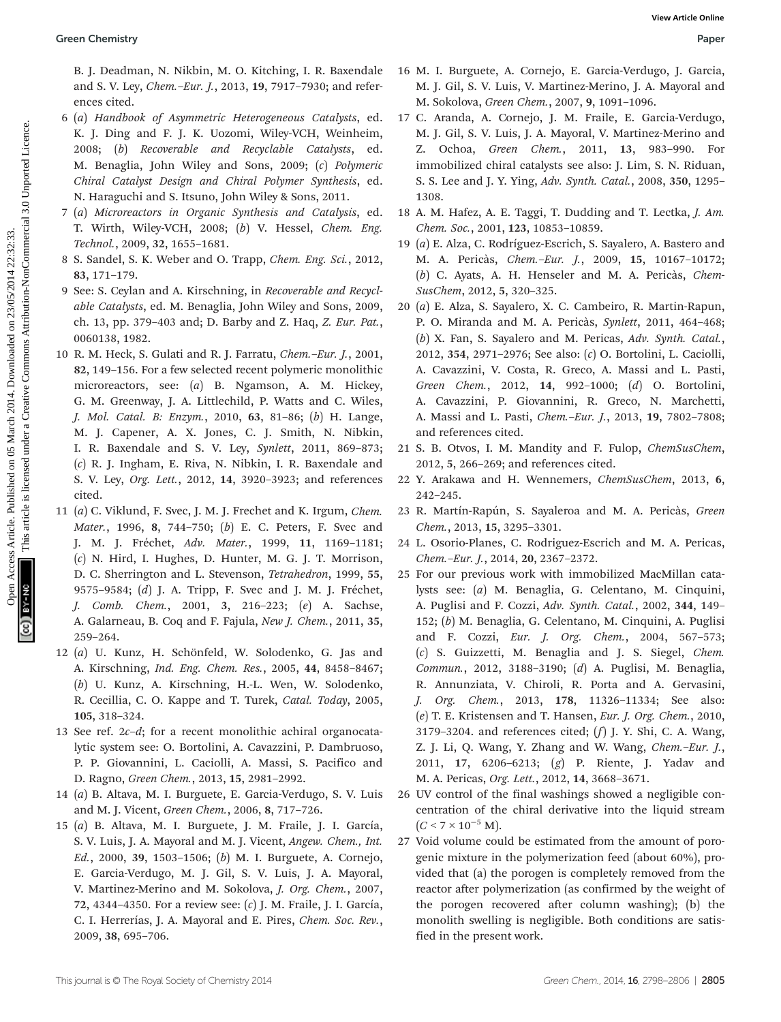B. J. Deadman, N. Nikbin, M. O. Kitching, I. R. Baxendale and S. V. Ley, Chem.–Eur. J., 2013, 19, 7917–7930; and references cited.

- 6 (a) Handbook of Asymmetric Heterogeneous Catalysts, ed. K. J. Ding and F. J. K. Uozomi, Wiley-VCH, Weinheim, 2008; (b) Recoverable and Recyclable Catalysts, ed. M. Benaglia, John Wiley and Sons, 2009; (c) Polymeric Chiral Catalyst Design and Chiral Polymer Synthesis, ed. N. Haraguchi and S. Itsuno, John Wiley & Sons, 2011.
- 7 (a) Microreactors in Organic Synthesis and Catalysis, ed. T. Wirth, Wiley-VCH, 2008; (b) V. Hessel, Chem. Eng. Technol., 2009, 32, 1655–1681.
- 8 S. Sandel, S. K. Weber and O. Trapp, Chem. Eng. Sci., 2012, 83, 171–179.
- 9 See: S. Ceylan and A. Kirschning, in Recoverable and Recyclable Catalysts, ed. M. Benaglia, John Wiley and Sons, 2009, ch. 13, pp. 379–403 and; D. Barby and Z. Haq, Z. Eur. Pat., 0060138, 1982.
- 10 R. M. Heck, S. Gulati and R. J. Farratu, Chem.–Eur. J., 2001, 82, 149–156. For a few selected recent polymeric monolithic microreactors, see: (a) B. Ngamson, A. M. Hickey, G. M. Greenway, J. A. Littlechild, P. Watts and C. Wiles, J. Mol. Catal. B: Enzym., 2010, 63, 81–86; (b) H. Lange, M. J. Capener, A. X. Jones, C. J. Smith, N. Nibkin, I. R. Baxendale and S. V. Ley, Synlett, 2011, 869–873; (c) R. J. Ingham, E. Riva, N. Nibkin, I. R. Baxendale and S. V. Ley, Org. Lett., 2012, 14, 3920–3923; and references cited. **Open Chemistry Workstabin, M. O.** Kithing, I. R. Baxcrdale is M. J. Durig, V. Length, Chemis articles. Common Chemis V. Length, Article. Statistical Published on 2014. During the statistical published on 23/05/2014. This
	- 11 (a) C. Viklund, F. Svec, J. M. J. Frechet and K. Irgum, Chem. Mater., 1996, 8, 744–750; (b) E. C. Peters, F. Svec and J. M. J. Fréchet, Adv. Mater., 1999, 11, 1169-1181; (c) N. Hird, I. Hughes, D. Hunter, M. G. J. T. Morrison, D. C. Sherrington and L. Stevenson, Tetrahedron, 1999, 55, 9575–9584; (d) J. A. Tripp, F. Svec and J. M. J. Fréchet, J. Comb. Chem., 2001, 3, 216–223; (e) A. Sachse, A. Galarneau, B. Coq and F. Fajula, New J. Chem., 2011, 35, 259–264.
	- 12 (a) U. Kunz, H. Schönfeld, W. Solodenko, G. Jas and A. Kirschning, Ind. Eng. Chem. Res., 2005, 44, 8458–8467; (b) U. Kunz, A. Kirschning, H.-L. Wen, W. Solodenko, R. Cecillia, C. O. Kappe and T. Turek, Catal. Today, 2005, 105, 318–324.
	- 13 See ref. 2c–d; for a recent monolithic achiral organocatalytic system see: O. Bortolini, A. Cavazzini, P. Dambruoso, P. P. Giovannini, L. Caciolli, A. Massi, S. Pacifico and D. Ragno, Green Chem., 2013, 15, 2981–2992.
	- 14 (a) B. Altava, M. I. Burguete, E. Garcia-Verdugo, S. V. Luis and M. J. Vicent, Green Chem., 2006, 8, 717–726.
	- 15 (a) B. Altava, M. I. Burguete, J. M. Fraile, J. I. García, S. V. Luis, J. A. Mayoral and M. J. Vicent, Angew. Chem., Int. Ed., 2000, 39, 1503–1506; (b) M. I. Burguete, A. Cornejo, E. Garcia-Verdugo, M. J. Gil, S. V. Luis, J. A. Mayoral, V. Martinez-Merino and M. Sokolova, J. Org. Chem., 2007, 72, 4344–4350. For a review see: (c) J. M. Fraile, J. I. García, C. I. Herrerías, J. A. Mayoral and E. Pires, Chem. Soc. Rev., 2009, 38, 695–706.
- 16 M. I. Burguete, A. Cornejo, E. Garcia-Verdugo, J. Garcia, M. J. Gil, S. V. Luis, V. Martinez-Merino, J. A. Mayoral and M. Sokolova, Green Chem., 2007, 9, 1091–1096.
- 17 C. Aranda, A. Cornejo, J. M. Fraile, E. Garcia-Verdugo, M. J. Gil, S. V. Luis, J. A. Mayoral, V. Martinez-Merino and Z. Ochoa, Green Chem., 2011, 13, 983–990. For immobilized chiral catalysts see also: J. Lim, S. N. Riduan, S. S. Lee and J. Y. Ying, Adv. Synth. Catal., 2008, 350, 1295– 1308.
- 18 A. M. Hafez, A. E. Taggi, T. Dudding and T. Lectka, J. Am. Chem. Soc., 2001, 123, 10853–10859.
- 19 (a) E. Alza, C. Rodríguez-Escrich, S. Sayalero, A. Bastero and M. A. Pericàs, Chem.–Eur. J., 2009, 15, 10167–10172; (b) C. Ayats, A. H. Henseler and M. A. Pericàs, Chem-SusChem, 2012, 5, 320–325.
- 20 (a) E. Alza, S. Sayalero, X. C. Cambeiro, R. Martin-Rapun, P. O. Miranda and M. A. Pericàs, Synlett, 2011, 464–468; (b) X. Fan, S. Sayalero and M. Pericas, Adv. Synth. Catal., 2012, 354, 2971–2976; See also: (c) O. Bortolini, L. Caciolli, A. Cavazzini, V. Costa, R. Greco, A. Massi and L. Pasti, Green Chem., 2012, 14, 992–1000; (d) O. Bortolini, A. Cavazzini, P. Giovannini, R. Greco, N. Marchetti, A. Massi and L. Pasti, Chem.–Eur. J., 2013, 19, 7802–7808; and references cited.
- 21 S. B. Otvos, I. M. Mandity and F. Fulop, ChemSusChem, 2012, 5, 266–269; and references cited.
- 22 Y. Arakawa and H. Wennemers, ChemSusChem, 2013, 6, 242–245.
- 23 R. Martín-Rapún, S. Sayaleroa and M. A. Pericàs, Green Chem., 2013, 15, 3295–3301.
- 24 L. Osorio-Planes, C. Rodriguez-Escrich and M. A. Pericas, Chem.–Eur. J., 2014, 20, 2367–2372.
- 25 For our previous work with immobilized MacMillan catalysts see: (a) M. Benaglia, G. Celentano, M. Cinquini, A. Puglisi and F. Cozzi, Adv. Synth. Catal., 2002, 344, 149– 152; (b) M. Benaglia, G. Celentano, M. Cinquini, A. Puglisi and F. Cozzi, Eur. J. Org. Chem., 2004, 567–573; (c) S. Guizzetti, M. Benaglia and J. S. Siegel, Chem. Commun., 2012, 3188–3190; (d) A. Puglisi, M. Benaglia, R. Annunziata, V. Chiroli, R. Porta and A. Gervasini, J. Org. Chem., 2013, 178, 11326–11334; See also: (e) T. E. Kristensen and T. Hansen, Eur. J. Org. Chem., 2010,  $3179-3204$ . and references cited;  $(f)$  J. Y. Shi, C. A. Wang, Z. J. Li, Q. Wang, Y. Zhang and W. Wang, Chem.–Eur. J., 2011, 17, 6206–6213; (g) P. Riente, J. Yadav and M. A. Pericas, Org. Lett., 2012, 14, 3668–3671.
- 26 UV control of the final washings showed a negligible concentration of the chiral derivative into the liquid stream  $(C < 7 \times 10^{-5} \text{ M}).$
- 27 Void volume could be estimated from the amount of porogenic mixture in the polymerization feed (about 60%), provided that (a) the porogen is completely removed from the reactor after polymerization (as confirmed by the weight of the porogen recovered after column washing); (b) the monolith swelling is negligible. Both conditions are satisfied in the present work.